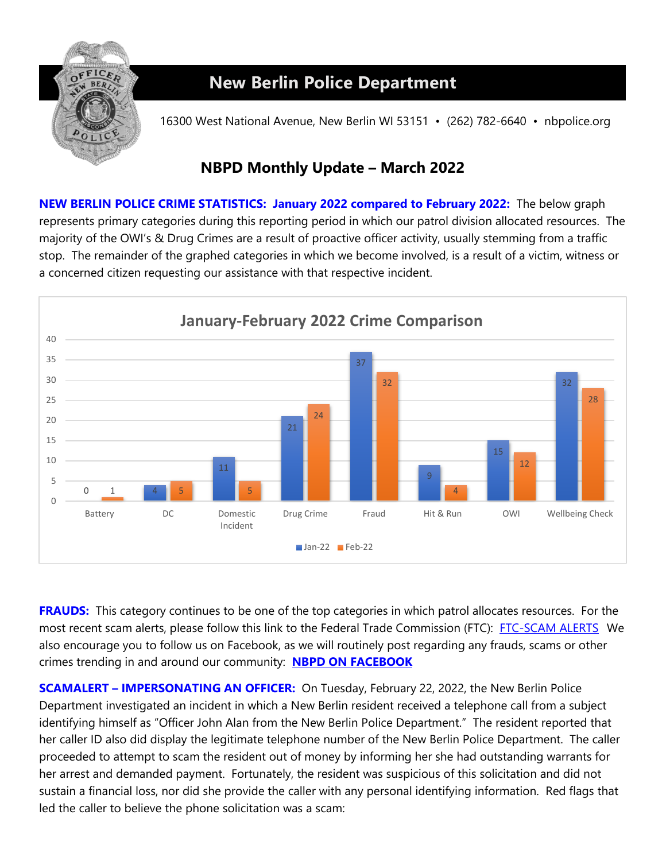

## **New Berlin Police Department**

16300 West National Avenue, New Berlin WI 53151 • (262) 782-6640 • nbpolice.org

## **NBPD Monthly Update – March 2022**

**NEW BERLIN POLICE CRIME STATISTICS: January 2022 compared to February 2022:** The below graph represents primary categories during this reporting period in which our patrol division allocated resources. The majority of the OWI's & Drug Crimes are a result of proactive officer activity, usually stemming from a traffic stop. The remainder of the graphed categories in which we become involved, is a result of a victim, witness or a concerned citizen requesting our assistance with that respective incident.



**FRAUDS:** This category continues to be one of the top categories in which patrol allocates resources. For the most recent scam alerts, please follow this link to the Federal Trade Commission (FTC): [FTC-SCAM ALERTS](https://www.consumer.ftc.gov/features/scam-alerts) We also encourage you to follow us on Facebook, as we will routinely post regarding any frauds, scams or other crimes trending in and around our community: **[NBPD ON FACEBOOK](http://www.facebook.com/pages/New-Berlin-Police-Department/112811588818971)**

**SCAMALERT – IMPERSONATING AN OFFICER:** On Tuesday, February 22, 2022, the New Berlin Police Department investigated an incident in which a New Berlin resident received a telephone call from a subject identifying himself as "Officer John Alan from the New Berlin Police Department." The resident reported that her caller ID also did display the legitimate telephone number of the New Berlin Police Department. The caller proceeded to attempt to scam the resident out of money by informing her she had outstanding warrants for her arrest and demanded payment. Fortunately, the resident was suspicious of this solicitation and did not sustain a financial loss, nor did she provide the caller with any personal identifying information. Red flags that led the caller to believe the phone solicitation was a scam: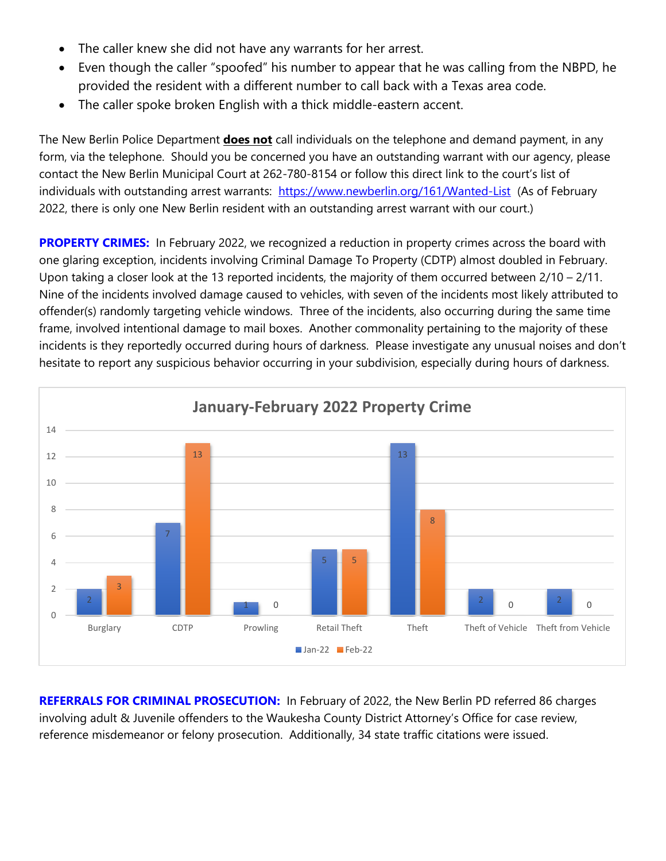- The caller knew she did not have any warrants for her arrest.
- Even though the caller "spoofed" his number to appear that he was calling from the NBPD, he provided the resident with a different number to call back with a Texas area code.
- The caller spoke broken English with a thick middle-eastern accent.

The New Berlin Police Department **does not** call individuals on the telephone and demand payment, in any form, via the telephone. Should you be concerned you have an outstanding warrant with our agency, please contact the New Berlin Municipal Court at 262-780-8154 or follow this direct link to the court's list of individuals with outstanding arrest warrants: <https://www.newberlin.org/161/Wanted-List>(As of February 2022, there is only one New Berlin resident with an outstanding arrest warrant with our court.)

**PROPERTY CRIMES:** In February 2022, we recognized a reduction in property crimes across the board with one glaring exception, incidents involving Criminal Damage To Property (CDTP) almost doubled in February. Upon taking a closer look at the 13 reported incidents, the majority of them occurred between  $2/10 - 2/11$ . Nine of the incidents involved damage caused to vehicles, with seven of the incidents most likely attributed to offender(s) randomly targeting vehicle windows. Three of the incidents, also occurring during the same time frame, involved intentional damage to mail boxes. Another commonality pertaining to the majority of these incidents is they reportedly occurred during hours of darkness. Please investigate any unusual noises and don't hesitate to report any suspicious behavior occurring in your subdivision, especially during hours of darkness.



**REFERRALS FOR CRIMINAL PROSECUTION:** In February of 2022, the New Berlin PD referred 86 charges involving adult & Juvenile offenders to the Waukesha County District Attorney's Office for case review, reference misdemeanor or felony prosecution. Additionally, 34 state traffic citations were issued.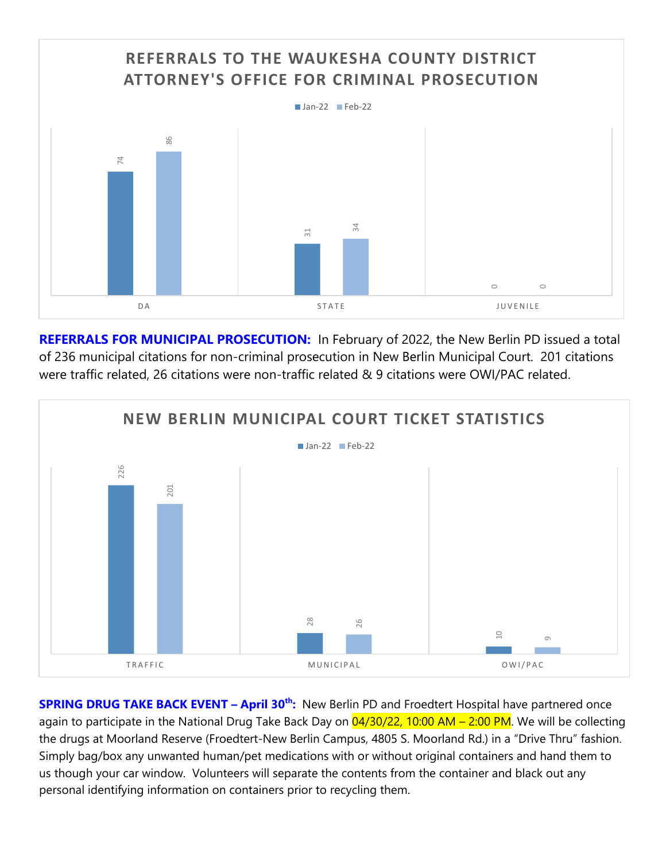

**REFERRALS FOR MUNICIPAL PROSECUTION:** In February of 2022, the New Berlin PD issued a total of 236 municipal citations for non-criminal prosecution in New Berlin Municipal Court. 201 citations were traffic related, 26 citations were non-traffic related & 9 citations were OWI/PAC related.



**SPRING DRUG TAKE BACK EVENT – April 30th:** New Berlin PD and Froedtert Hospital have partnered once again to participate in the National Drug Take Back Day on 04/30/22, 10:00 AM – 2:00 PM. We will be collecting the drugs at Moorland Reserve (Froedtert-New Berlin Campus, 4805 S. Moorland Rd.) in a "Drive Thru" fashion. Simply bag/box any unwanted human/pet medications with or without original containers and hand them to us though your car window. Volunteers will separate the contents from the container and black out any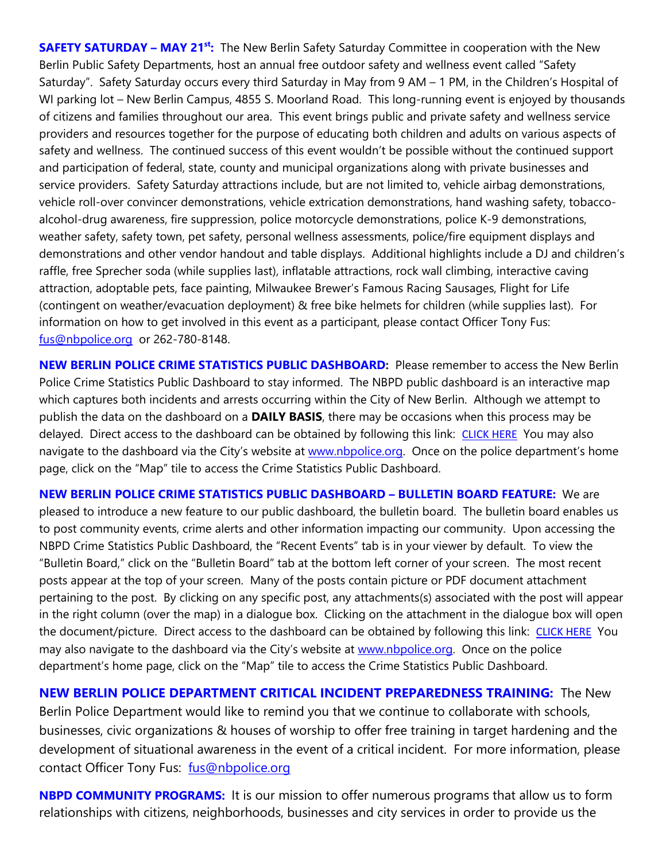**SAFETY SATURDAY – MAY 21st:** The New Berlin Safety Saturday Committee in cooperation with the New Berlin Public Safety Departments, host an annual free outdoor safety and wellness event called "Safety Saturday". Safety Saturday occurs every third Saturday in May from 9 AM – 1 PM, in the Children's Hospital of WI parking lot – New Berlin Campus, 4855 S. Moorland Road. This long-running event is enjoyed by thousands of citizens and families throughout our area. This event brings public and private safety and wellness service providers and resources together for the purpose of educating both children and adults on various aspects of safety and wellness. The continued success of this event wouldn't be possible without the continued support and participation of federal, state, county and municipal organizations along with private businesses and service providers. Safety Saturday attractions include, but are not limited to, vehicle airbag demonstrations, vehicle roll-over convincer demonstrations, vehicle extrication demonstrations, hand washing safety, tobaccoalcohol-drug awareness, fire suppression, police motorcycle demonstrations, police K-9 demonstrations, weather safety, safety town, pet safety, personal wellness assessments, police/fire equipment displays and demonstrations and other vendor handout and table displays. Additional highlights include a DJ and children's raffle, free Sprecher soda (while supplies last), inflatable attractions, rock wall climbing, interactive caving attraction, adoptable pets, face painting, Milwaukee Brewer's Famous Racing Sausages, Flight for Life (contingent on weather/evacuation deployment) & free bike helmets for children (while supplies last). For information on how to get involved in this event as a participant, please contact Officer Tony Fus: [fus@nbpolice.org](mailto:fus@nbpolice.org) or 262-780-8148.

**NEW BERLIN POLICE CRIME STATISTICS PUBLIC DASHBOARD:** Please remember to access the New Berlin Police Crime Statistics Public Dashboard to stay informed. The NBPD public dashboard is an interactive map which captures both incidents and arrests occurring within the City of New Berlin. Although we attempt to publish the data on the dashboard on a **DAILY BASIS**, there may be occasions when this process may be delayed. Direct access to the dashboard can be obtained by following this link: [CLICK HERE](https://experience.arcgis.com/experience/37de1b6cc1194bf987a133174a450e80) You may also navigate to the dashboard via the City's website at [www.nbpolice.org.](http://www.nbpolice.org/) Once on the police department's home page, click on the "Map" tile to access the Crime Statistics Public Dashboard.

**NEW BERLIN POLICE CRIME STATISTICS PUBLIC DASHBOARD – BULLETIN BOARD FEATURE:** We are pleased to introduce a new feature to our public dashboard, the bulletin board. The bulletin board enables us to post community events, crime alerts and other information impacting our community. Upon accessing the NBPD Crime Statistics Public Dashboard, the "Recent Events" tab is in your viewer by default. To view the "Bulletin Board," click on the "Bulletin Board" tab at the bottom left corner of your screen. The most recent posts appear at the top of your screen. Many of the posts contain picture or PDF document attachment pertaining to the post. By clicking on any specific post, any attachments(s) associated with the post will appear in the right column (over the map) in a dialogue box. Clicking on the attachment in the dialogue box will open the document/picture. Direct access to the dashboard can be obtained by following this link: [CLICK HERE](https://experience.arcgis.com/experience/37de1b6cc1194bf987a133174a450e80) You may also navigate to the dashboard via the City's website at [www.nbpolice.org.](http://www.nbpolice.org/) Once on the police department's home page, click on the "Map" tile to access the Crime Statistics Public Dashboard.

**NEW BERLIN POLICE DEPARTMENT CRITICAL INCIDENT PREPAREDNESS TRAINING:** The New Berlin Police Department would like to remind you that we continue to collaborate with schools, businesses, civic organizations & houses of worship to offer free training in target hardening and the development of situational awareness in the event of a critical incident. For more information, please contact Officer Tony Fus: [fus@nbpolice.org](mailto:fus@nbpolice.org) 

**NBPD COMMUNITY PROGRAMS:** It is our mission to offer numerous programs that allow us to form relationships with citizens, neighborhoods, businesses and city services in order to provide us the